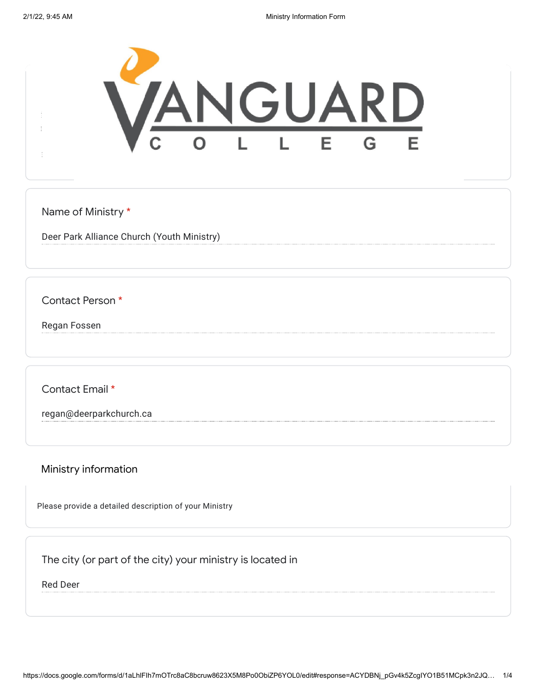

Name of Ministry \*

Deer Park Alliance Church (Youth Ministry)

Contact Person \*

Regan Fossen

Contact Email \*

regan@deerparkchurch.ca

Ministry information

Please provide a detailed description of your Ministry

The city (or part of the city) your ministry is located in

Red Deer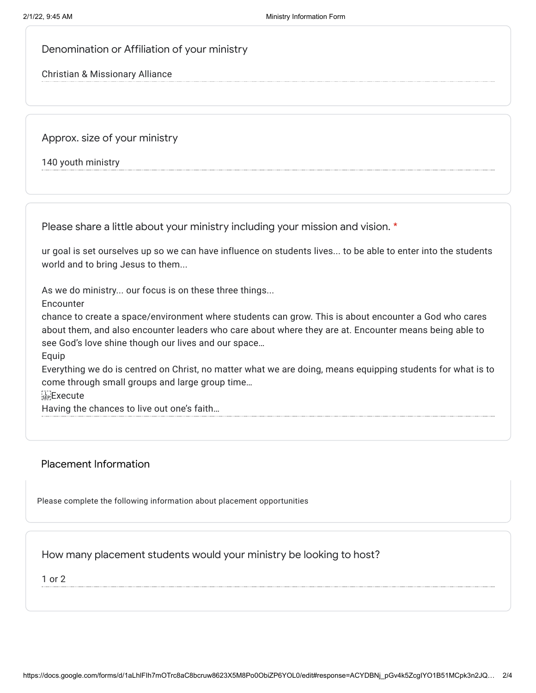## Denomination or Affiliation of your ministry

Christian & Missionary Alliance

Approx. size of your ministry

140 youth ministry

Please share a little about your ministry including your mission and vision. \*

ur goal is set ourselves up so we can have influence on students lives... to be able to enter into the students world and to bring Jesus to them...

As we do ministry... our focus is on these three things...

Encounter

chance to create a space/environment where students can grow. This is about encounter a God who cares about them, and also encounter leaders who care about where they are at. Encounter means being able to see God's love shine though our lives and our space…

Equip

Everything we do is centred on Christ, no matter what we are doing, means equipping students for what is to come through small groups and large group time…

Execute

Having the chances to live out one's faith…

## Placement Information

Please complete the following information about placement opportunities

How many placement students would your ministry be looking to host?

1 or 2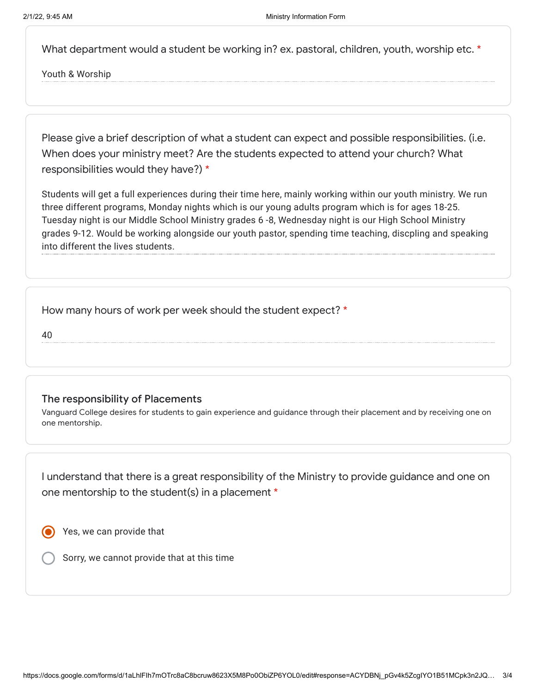What department would a student be working in? ex. pastoral, children, youth, worship etc. \*

Youth & Worship

Please give a brief description of what a student can expect and possible responsibilities. (i.e. When does your ministry meet? Are the students expected to attend your church? What responsibilities would they have?) \*

Students will get a full experiences during their time here, mainly working within our youth ministry. We run three different programs, Monday nights which is our young adults program which is for ages 18-25. Tuesday night is our Middle School Ministry grades 6 -8, Wednesday night is our High School Ministry grades 9-12. Would be working alongside our youth pastor, spending time teaching, discpling and speaking into different the lives students.

How many hours of work per week should the student expect? \*

40

## The responsibility of Placements

Vanguard College desires for students to gain experience and guidance through their placement and by receiving one on one mentorship.

I understand that there is a great responsibility of the Ministry to provide guidance and one on one mentorship to the student(s) in a placement \*

Yes, we can provide that

Sorry, we cannot provide that at this time